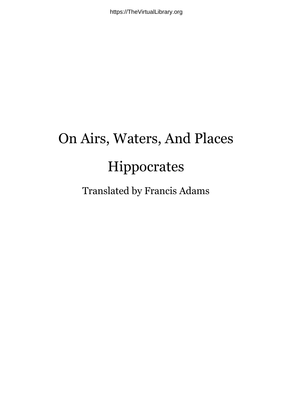## On Airs, Waters, And Places Hippocrates

Translated by Francis Adams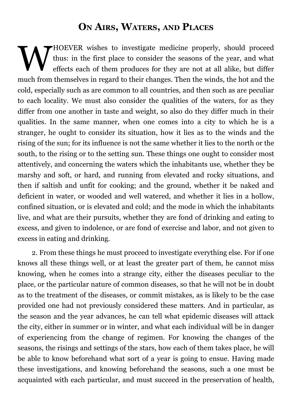## **ON AIRS, WATERS, AND PLACES**

WHOEVER wishes to investigate medicine properly, should proceed<br>thus: in the first place to consider the seasons of the year, and what<br>effects each of them produces for they are not at all alike, but differ<br>the short behav thus: in the first place to consider the seasons of the year, and what effects each of them produces for they are not at all alike, but differ much from themselves in regard to their changes. Then the winds, the hot and the cold, especially such as are common to all countries, and then such as are peculiar to each locality. We must also consider the qualities of the waters, for as they differ from one another in taste and weight, so also do they differ much in their qualities. In the same manner, when one comes into a city to which he is a stranger, he ought to consider its situation, how it lies as to the winds and the rising of the sun; for its influence is not the same whether it lies to the north or the south, to the rising or to the setting sun. These things one ought to consider most attentively, and concerning the waters which the inhabitants use, whether they be marshy and soft, or hard, and running from elevated and rocky situations, and then if saltish and unfit for cooking; and the ground, whether it be naked and deficient in water, or wooded and well watered, and whether it lies in a hollow, confined situation, or is elevated and cold; and the mode in which the inhabitants live, and what are their pursuits, whether they are fond of drinking and eating to excess, and given to indolence, or are fond of exercise and labor, and not given to excess in eating and drinking.

2. From these things he must proceed to investigate everything else. For if one knows all these things well, or at least the greater part of them, he cannot miss knowing, when he comes into a strange city, either the diseases peculiar to the place, or the particular nature of common diseases, so that he will not be in doubt as to the treatment of the diseases, or commit mistakes, as is likely to be the case provided one had not previously considered these matters. And in particular, as the season and the year advances, he can tell what epidemic diseases will attack the city, either in summer or in winter, and what each individual will be in danger of experiencing from the change of regimen. For knowing the changes of the seasons, the risings and settings of the stars, how each of them takes place, he will be able to know beforehand what sort of a year is going to ensue. Having made these investigations, and knowing beforehand the seasons, such a one must be acquainted with each particular, and must succeed in the preservation of health,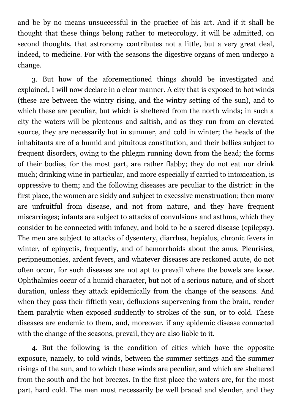and be by no means unsuccessful in the practice of his art. And if it shall be thought that these things belong rather to meteorology, it will be admitted, on second thoughts, that astronomy contributes not a little, but a very great deal, indeed, to medicine. For with the seasons the digestive organs of men undergo a change.

3. But how of the aforementioned things should be investigated and explained, I will now declare in a clear manner. A city that is exposed to hot winds (these are between the wintry rising, and the wintry setting of the sun), and to which these are peculiar, but which is sheltered from the north winds; in such a city the waters will be plenteous and saltish, and as they run from an elevated source, they are necessarily hot in summer, and cold in winter; the heads of the inhabitants are of a humid and pituitous constitution, and their bellies subject to frequent disorders, owing to the phlegm running down from the head; the forms of their bodies, for the most part, are rather flabby; they do not eat nor drink much; drinking wine in particular, and more especially if carried to intoxication, is oppressive to them; and the following diseases are peculiar to the district: in the first place, the women are sickly and subject to excessive menstruation; then many are unfruitful from disease, and not from nature, and they have frequent miscarriages; infants are subject to attacks of convulsions and asthma, which they consider to be connected with infancy, and hold to be a sacred disease (epilepsy). The men are subject to attacks of dysentery, diarrhea, hepialus, chronic fevers in winter, of epinyctis, frequently, and of hemorrhoids about the anus. Pleurisies, peripneumonies, ardent fevers, and whatever diseases are reckoned acute, do not often occur, for such diseases are not apt to prevail where the bowels are loose. Ophthalmies occur of a humid character, but not of a serious nature, and of short duration, unless they attack epidemically from the change of the seasons. And when they pass their fiftieth year, defluxions supervening from the brain, render them paralytic when exposed suddently to strokes of the sun, or to cold. These diseases are endemic to them, and, moreover, if any epidemic disease connected with the change of the seasons, prevail, they are also liable to it.

4. But the following is the condition of cities which have the opposite exposure, namely, to cold winds, between the summer settings and the summer risings of the sun, and to which these winds are peculiar, and which are sheltered from the south and the hot breezes. In the first place the waters are, for the most part, hard cold. The men must necessarily be well braced and slender, and they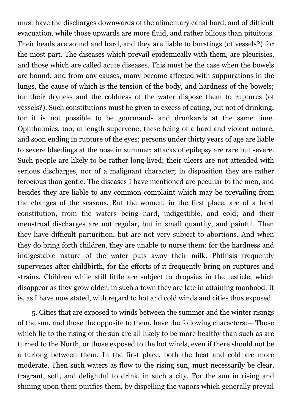must have the discharges downwards of the alimentary canal hard, and of difficult evacuation, while those upwards are more fluid, and rather bilious than pituitous. Their heads are sound and hard, and they are liable to burstings (of vessels?) for the most part. The diseases which prevail epidemically with them, are pleurisies, and those which are called acute diseases. This must be the case when the bowels are bound; and from any causes, many become affected with suppurations in the lungs, the cause of which is the tension of the body, and hardness of the bowels; for their dryness and the coldness of the water dispose them to ruptures (of vessels?). Such constitutions must be given to excess of eating, but not of drinking; for it is not possible to be gourmands and drunkards at the same time. Ophthalmies, too, at length supervene; these being of a hard and violent nature, and soon ending in rupture of the eyes; persons under thirty years of age are liable to severe bleedings at the nose in summer; attacks of epilepsy are rare but severe. Such people are likely to be rather long-lived; their ulcers are not attended with serious discharges, nor of a malignant character; in disposition they are rather ferocious than gentle. The diseases I have mentioned are peculiar to the men, and besides they are liable to any common complaint which may be prevailing from the changes of the seasons. But the women, in the first place, are of a hard constitution, from the waters being hard, indigestible, and cold; and their menstrual discharges are not regular, but in small quantity, and painful. Then they have difficult parturition, but are not very subject to abortions. And when they do bring forth children, they are unable to nurse them; for the hardness and indigestable nature of the water puts away their milk. Phthisis frequently supervenes after childbirth, for the efforts of it frequently bring on ruptures and strains. Children while still little are subject to dropsies in the testicle, which disappear as they grow older; in such a town they are late in attaining manhood. It is, as I have now stated, with regard to hot and cold winds and cities thus exposed.

5. Cities that are exposed to winds between the summer and the winter risings of the sun, and those the opposite to them, have the following characters:— Those which lie to the rising of the sun are all likely to be more healthy than such as are turned to the North, or those exposed to the hot winds, even if there should not be a furlong between them. In the first place, both the heat and cold are more moderate. Then such waters as flow to the rising sun, must necessarily be clear, fragrant, soft, and delightful to drink, in such a city. For the sun in rising and shining upon them purifies them, by dispelling the vapors which generally prevail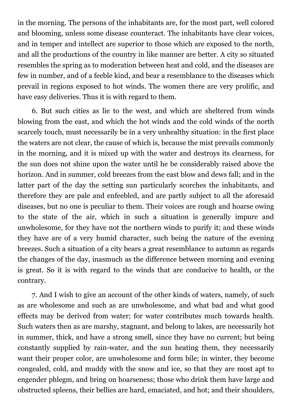in the morning. The persons of the inhabitants are, for the most part, well colored and blooming, unless some disease counteract. The inhabitants have clear voices, and in temper and intellect are superior to those which are exposed to the north, and all the productions of the country in like manner are better. A city so situated resembles the spring as to moderation between heat and cold, and the diseases are few in number, and of a feeble kind, and bear a resemblance to the diseases which prevail in regions exposed to hot winds. The women there are very prolific, and have easy deliveries. Thus it is with regard to them.

6. But such cities as lie to the west, and which are sheltered from winds blowing from the east, and which the hot winds and the cold winds of the north scarcely touch, must necessarily be in a very unhealthy situation: in the first place the waters are not clear, the cause of which is, because the mist prevails commonly in the morning, and it is mixed up with the water and destroys its clearness, for the sun does not shine upon the water until he be considerably raised above the horizon. And in summer, cold breezes from the east blow and dews fall; and in the latter part of the day the setting sun particularly scorches the inhabitants, and therefore they are pale and enfeebled, and are partly subject to all the aforesaid diseases, but no one is peculiar to them. Their voices are rough and hoarse owing to the state of the air, which in such a situation is generally impure and unwholesome, for they have not the northern winds to purify it; and these winds they have are of a very humid character, such being the nature of the evening breezes. Such a situation of a city bears a great resemblance to autumn as regards the changes of the day, inasmuch as the difference between morning and evening is great. So it is with regard to the winds that are conducive to health, or the contrary.

7. And I wish to give an account of the other kinds of waters, namely, of such as are wholesome and such as are unwholesome, and what bad and what good effects may be derived from water; for water contributes much towards health. Such waters then as are marshy, stagnant, and belong to lakes, are necessarily hot in summer, thick, and have a strong smell, since they have no current; but being constantly supplied by rain-water, and the sun heating them, they necessarily want their proper color, are unwholesome and form bile; in winter, they become congealed, cold, and muddy with the snow and ice, so that they are most apt to engender phlegm, and bring on hoarseness; those who drink them have large and obstructed spleens, their bellies are hard, emaciated, and hot; and their shoulders,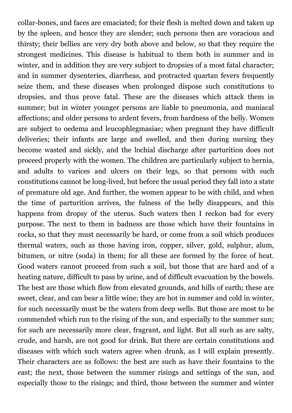collar-bones, and faces are emaciated; for their flesh is melted down and taken up by the spleen, and hence they are slender; such persons then are voracious and thirsty; their bellies are very dry both above and below, so that they require the strongest medicines. This disease is habitual to them both in summer and in winter, and in addition they are very subject to dropsies of a most fatal character; and in summer dysenteries, diarrheas, and protracted quartan fevers frequently seize them, and these diseases when prolonged dispose such constitutions to dropsies, and thus prove fatal. These are the diseases which attack them in summer; but in winter younger persons are liable to pneumonia, and maniacal affections; and older persons to ardent fevers, from hardness of the belly. Women are subject to oedema and leucophlegmasiae; when pregnant they have difficult deliveries; their infants are large and swelled, and then during nursing they become wasted and sickly, and the lochial discharge after parturition does not proceed properly with the women. The children are particularly subject to hernia, and adults to varices and ulcers on their legs, so that persons with such constitutions cannot be long-lived, but before the usual period they fall into a state of premature old age. And further, the women appear to be with child, and when the time of parturition arrives, the fulness of the belly disappears, and this happens from dropsy of the uterus. Such waters then I reckon bad for every purpose. The next to them in badness are those which have their fountains in rocks, so that they must necessarily be hard, or come from a soil which produces thermal waters, such as those having iron, copper, silver, gold, sulphur, alum, bitumen, or nitre (soda) in them; for all these are formed by the force of heat. Good waters cannot proceed from such a soil, but those that are hard and of a heating nature, difficult to pass by urine, and of difficult evacuation by the bowels. The best are those which flow from elevated grounds, and hills of earth; these are sweet, clear, and can bear a little wine; they are hot in summer and cold in winter, for such necessarily must be the waters from deep wells. But those are most to be commended which run to the rising of the sun, and especially to the summer sun; for such are necessarily more clear, fragrant, and light. But all such as are salty, crude, and harsh, are not good for drink. But there are certain constitutions and diseases with which such waters agree when drunk, as I will explain presently. Their characters are as follows: the best are such as have their fountains to the east; the next, those between the summer risings and settings of the sun, and especially those to the risings; and third, those between the summer and winter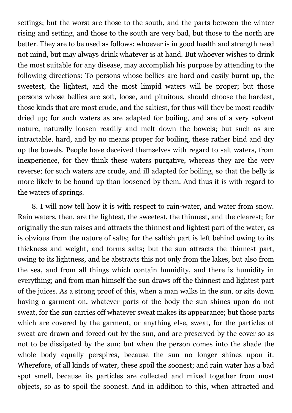settings; but the worst are those to the south, and the parts between the winter rising and setting, and those to the south are very bad, but those to the north are better. They are to be used as follows: whoever is in good health and strength need not mind, but may always drink whatever is at hand. But whoever wishes to drink the most suitable for any disease, may accomplish his purpose by attending to the following directions: To persons whose bellies are hard and easily burnt up, the sweetest, the lightest, and the most limpid waters will be proper; but those persons whose bellies are soft, loose, and pituitous, should choose the hardest, those kinds that are most crude, and the saltiest, for thus will they be most readily dried up; for such waters as are adapted for boiling, and are of a very solvent nature, naturally loosen readily and melt down the bowels; but such as are intractable, hard, and by no means proper for boiling, these rather bind and dry up the bowels. People have deceived themselves with regard to salt waters, from inexperience, for they think these waters purgative, whereas they are the very reverse; for such waters are crude, and ill adapted for boiling, so that the belly is more likely to be bound up than loosened by them. And thus it is with regard to the waters of springs.

8. I will now tell how it is with respect to rain-water, and water from snow. Rain waters, then, are the lightest, the sweetest, the thinnest, and the clearest; for originally the sun raises and attracts the thinnest and lightest part of the water, as is obvious from the nature of salts; for the saltish part is left behind owing to its thickness and weight, and forms salts; but the sun attracts the thinnest part, owing to its lightness, and he abstracts this not only from the lakes, but also from the sea, and from all things which contain humidity, and there is humidity in everything; and from man himself the sun draws off the thinnest and lightest part of the juices. As a strong proof of this, when a man walks in the sun, or sits down having a garment on, whatever parts of the body the sun shines upon do not sweat, for the sun carries off whatever sweat makes its appearance; but those parts which are covered by the garment, or anything else, sweat, for the particles of sweat are drawn and forced out by the sun, and are preserved by the cover so as not to be dissipated by the sun; but when the person comes into the shade the whole body equally perspires, because the sun no longer shines upon it. Wherefore, of all kinds of water, these spoil the soonest; and rain water has a bad spot smell, because its particles are collected and mixed together from most objects, so as to spoil the soonest. And in addition to this, when attracted and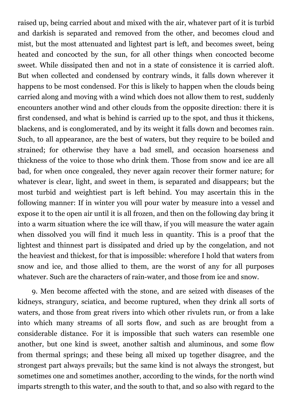raised up, being carried about and mixed with the air, whatever part of it is turbid and darkish is separated and removed from the other, and becomes cloud and mist, but the most attenuated and lightest part is left, and becomes sweet, being heated and concocted by the sun, for all other things when concocted become sweet. While dissipated then and not in a state of consistence it is carried aloft. But when collected and condensed by contrary winds, it falls down wherever it happens to be most condensed. For this is likely to happen when the clouds being carried along and moving with a wind which does not allow them to rest, suddenly encounters another wind and other clouds from the opposite direction: there it is first condensed, and what is behind is carried up to the spot, and thus it thickens, blackens, and is conglomerated, and by its weight it falls down and becomes rain. Such, to all appearance, are the best of waters, but they require to be boiled and strained; for otherwise they have a bad smell, and occasion hoarseness and thickness of the voice to those who drink them. Those from snow and ice are all bad, for when once congealed, they never again recover their former nature; for whatever is clear, light, and sweet in them, is separated and disappears; but the most turbid and weightiest part is left behind. You may ascertain this in the following manner: If in winter you will pour water by measure into a vessel and expose it to the open air until it is all frozen, and then on the following day bring it into a warm situation where the ice will thaw, if you will measure the water again when dissolved you will find it much less in quantity. This is a proof that the lightest and thinnest part is dissipated and dried up by the congelation, and not the heaviest and thickest, for that is impossible: wherefore I hold that waters from snow and ice, and those allied to them, are the worst of any for all purposes whatever. Such are the characters of rain-water, and those from ice and snow.

9. Men become affected with the stone, and are seized with diseases of the kidneys, strangury, sciatica, and become ruptured, when they drink all sorts of waters, and those from great rivers into which other rivulets run, or from a lake into which many streams of all sorts flow, and such as are brought from a considerable distance. For it is impossible that such waters can resemble one another, but one kind is sweet, another saltish and aluminous, and some flow from thermal springs; and these being all mixed up together disagree, and the strongest part always prevails; but the same kind is not always the strongest, but sometimes one and sometimes another, according to the winds, for the north wind imparts strength to this water, and the south to that, and so also with regard to the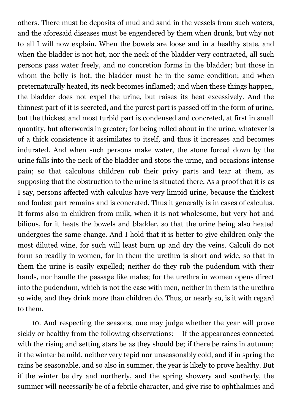others. There must be deposits of mud and sand in the vessels from such waters, and the aforesaid diseases must be engendered by them when drunk, but why not to all I will now explain. When the bowels are loose and in a healthy state, and when the bladder is not hot, nor the neck of the bladder very contracted, all such persons pass water freely, and no concretion forms in the bladder; but those in whom the belly is hot, the bladder must be in the same condition; and when preternaturally heated, its neck becomes inflamed; and when these things happen, the bladder does not expel the urine, but raises its heat excessively. And the thinnest part of it is secreted, and the purest part is passed off in the form of urine, but the thickest and most turbid part is condensed and concreted, at first in small quantity, but afterwards in greater; for being rolled about in the urine, whatever is of a thick consistence it assimilates to itself, and thus it increases and becomes indurated. And when such persons make water, the stone forced down by the urine falls into the neck of the bladder and stops the urine, and occasions intense pain; so that calculous children rub their privy parts and tear at them, as supposing that the obstruction to the urine is situated there. As a proof that it is as I say, persons affected with calculus have very limpid urine, because the thickest and foulest part remains and is concreted. Thus it generally is in cases of calculus. It forms also in children from milk, when it is not wholesome, but very hot and bilious, for it heats the bowels and bladder, so that the urine being also heated undergoes the same change. And I hold that it is better to give children only the most diluted wine, for such will least burn up and dry the veins. Calculi do not form so readily in women, for in them the urethra is short and wide, so that in them the urine is easily expelled; neither do they rub the pudendum with their hands, nor handle the passage like males; for the urethra in women opens direct into the pudendum, which is not the case with men, neither in them is the urethra so wide, and they drink more than children do. Thus, or nearly so, is it with regard to them.

10. And respecting the seasons, one may judge whether the year will prove sickly or healthy from the following observations:— If the appearances connected with the rising and setting stars be as they should be; if there be rains in autumn; if the winter be mild, neither very tepid nor unseasonably cold, and if in spring the rains be seasonable, and so also in summer, the year is likely to prove healthy. But if the winter be dry and northerly, and the spring showery and southerly, the summer will necessarily be of a febrile character, and give rise to ophthalmies and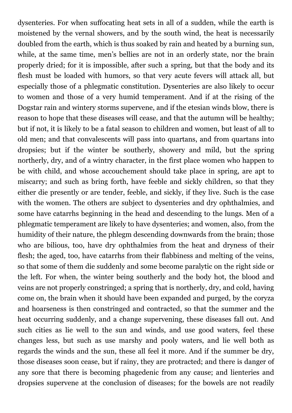dysenteries. For when suffocating heat sets in all of a sudden, while the earth is moistened by the vernal showers, and by the south wind, the heat is necessarily doubled from the earth, which is thus soaked by rain and heated by a burning sun, while, at the same time, men's bellies are not in an orderly state, nor the brain properly dried; for it is impossible, after such a spring, but that the body and its flesh must be loaded with humors, so that very acute fevers will attack all, but especially those of a phlegmatic constitution. Dysenteries are also likely to occur to women and those of a very humid temperament. And if at the rising of the Dogstar rain and wintery storms supervene, and if the etesian winds blow, there is reason to hope that these diseases will cease, and that the autumn will be healthy; but if not, it is likely to be a fatal season to children and women, but least of all to old men; and that convalescents will pass into quartans, and from quartans into dropsies; but if the winter be southerly, showery and mild, but the spring northerly, dry, and of a wintry character, in the first place women who happen to be with child, and whose accouchement should take place in spring, are apt to miscarry; and such as bring forth, have feeble and sickly children, so that they either die presently or are tender, feeble, and sickly, if they live. Such is the case with the women. The others are subject to dysenteries and dry ophthalmies, and some have catarrhs beginning in the head and descending to the lungs. Men of a phlegmatic temperament are likely to have dysenteries; and women, also, from the humidity of their nature, the phlegm descending downwards from the brain; those who are bilious, too, have dry ophthalmies from the heat and dryness of their flesh; the aged, too, have catarrhs from their flabbiness and melting of the veins, so that some of them die suddenly and some become paralytic on the right side or the left. For when, the winter being southerly and the body hot, the blood and veins are not properly constringed; a spring that is northerly, dry, and cold, having come on, the brain when it should have been expanded and purged, by the coryza and hoarseness is then constringed and contracted, so that the summer and the heat occurring suddenly, and a change supervening, these diseases fall out. And such cities as lie well to the sun and winds, and use good waters, feel these changes less, but such as use marshy and pooly waters, and lie well both as regards the winds and the sun, these all feel it more. And if the summer be dry, those diseases soon cease, but if rainy, they are protracted; and there is danger of any sore that there is becoming phagedenic from any cause; and lienteries and dropsies supervene at the conclusion of diseases; for the bowels are not readily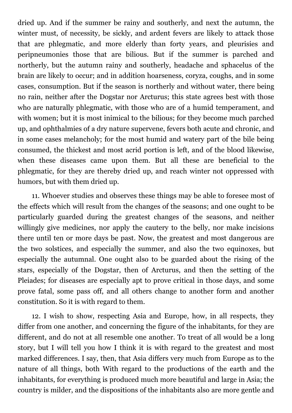dried up. And if the summer be rainy and southerly, and next the autumn, the winter must, of necessity, be sickly, and ardent fevers are likely to attack those that are phlegmatic, and more elderly than forty years, and pleurisies and peripneumonies those that are bilious. But if the summer is parched and northerly, but the autumn rainy and southerly, headache and sphacelus of the brain are likely to occur; and in addition hoarseness, coryza, coughs, and in some cases, consumption. But if the season is northerly and without water, there being no rain, neither after the Dogstar nor Arcturus; this state agrees best with those who are naturally phlegmatic, with those who are of a humid temperament, and with women; but it is most inimical to the bilious; for they become much parched up, and ophthalmies of a dry nature supervene, fevers both acute and chronic, and in some cases melancholy; for the most humid and watery part of the bile being consumed, the thickest and most acrid portion is left, and of the blood likewise, when these diseases came upon them. But all these are beneficial to the phlegmatic, for they are thereby dried up, and reach winter not oppressed with humors, but with them dried up.

11. Whoever studies and observes these things may be able to foresee most of the effects which will result from the changes of the seasons; and one ought to be particularly guarded during the greatest changes of the seasons, and neither willingly give medicines, nor apply the cautery to the belly, nor make incisions there until ten or more days be past. Now, the greatest and most dangerous are the two solstices, and especially the summer, and also the two equinoxes, but especially the autumnal. One ought also to be guarded about the rising of the stars, especially of the Dogstar, then of Arcturus, and then the setting of the Pleiades; for diseases are especially apt to prove critical in those days, and some prove fatal, some pass off, and all others change to another form and another constitution. So it is with regard to them.

12. I wish to show, respecting Asia and Europe, how, in all respects, they differ from one another, and concerning the figure of the inhabitants, for they are different, and do not at all resemble one another. To treat of all would be a long story, but I will tell you how I think it is with regard to the greatest and most marked differences. I say, then, that Asia differs very much from Europe as to the nature of all things, both With regard to the productions of the earth and the inhabitants, for everything is produced much more beautiful and large in Asia; the country is milder, and the dispositions of the inhabitants also are more gentle and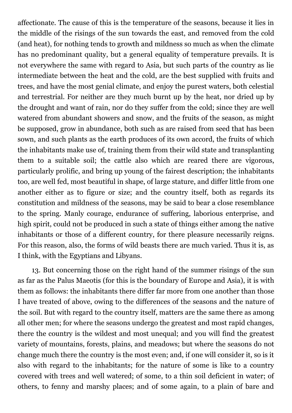affectionate. The cause of this is the temperature of the seasons, because it lies in the middle of the risings of the sun towards the east, and removed from the cold (and heat), for nothing tends to growth and mildness so much as when the climate has no predominant quality, but a general equality of temperature prevails. It is not everywhere the same with regard to Asia, but such parts of the country as lie intermediate between the heat and the cold, are the best supplied with fruits and trees, and have the most genial climate, and enjoy the purest waters, both celestial and terrestrial. For neither are they much burnt up by the heat, nor dried up by the drought and want of rain, nor do they suffer from the cold; since they are well watered from abundant showers and snow, and the fruits of the season, as might be supposed, grow in abundance, both such as are raised from seed that has been sown, and such plants as the earth produces of its own accord, the fruits of which the inhabitants make use of, training them from their wild state and transplanting them to a suitable soil; the cattle also which are reared there are vigorous, particularly prolific, and bring up young of the fairest description; the inhabitants too, are well fed, most beautiful in shape, of large stature, and differ little from one another either as to figure or size; and the country itself, both as regards its constitution and mildness of the seasons, may be said to bear a close resemblance to the spring. Manly courage, endurance of suffering, laborious enterprise, and high spirit, could not be produced in such a state of things either among the native inhabitants or those of a different country, for there pleasure necessarily reigns. For this reason, also, the forms of wild beasts there are much varied. Thus it is, as I think, with the Egyptians and Libyans.

13. But concerning those on the right hand of the summer risings of the sun as far as the Palus Maeotis (for this is the boundary of Europe and Asia), it is with them as follows: the inhabitants there differ far more from one another than those I have treated of above, owing to the differences of the seasons and the nature of the soil. But with regard to the country itself, matters are the same there as among all other men; for where the seasons undergo the greatest and most rapid changes, there the country is the wildest and most unequal; and you will find the greatest variety of mountains, forests, plains, and meadows; but where the seasons do not change much there the country is the most even; and, if one will consider it, so is it also with regard to the inhabitants; for the nature of some is like to a country covered with trees and well watered; of some, to a thin soil deficient in water; of others, to fenny and marshy places; and of some again, to a plain of bare and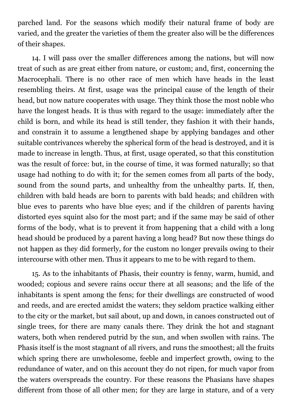parched land. For the seasons which modify their natural frame of body are varied, and the greater the varieties of them the greater also will be the differences of their shapes.

14. I will pass over the smaller differences among the nations, but will now treat of such as are great either from nature, or custom; and, first, concerning the Macrocephali. There is no other race of men which have heads in the least resembling theirs. At first, usage was the principal cause of the length of their head, but now nature cooperates with usage. They think those the most noble who have the longest heads. It is thus with regard to the usage: immediately after the child is born, and while its head is still tender, they fashion it with their hands, and constrain it to assume a lengthened shape by applying bandages and other suitable contrivances whereby the spherical form of the head is destroyed, and it is made to increase in length. Thus, at first, usage operated, so that this constitution was the result of force: but, in the course of time, it was formed naturally; so that usage had nothing to do with it; for the semen comes from all parts of the body, sound from the sound parts, and unhealthy from the unhealthy parts. If, then, children with bald heads are born to parents with bald heads; and children with blue eves to parents who have blue eyes; and if the children of parents having distorted eyes squint also for the most part; and if the same may be said of other forms of the body, what is to prevent it from happening that a child with a long head should be produced by a parent having a long head? But now these things do not happen as they did formerly, for the custom no longer prevails owing to their intercourse with other men. Thus it appears to me to be with regard to them.

15. As to the inhabitants of Phasis, their country is fenny, warm, humid, and wooded; copious and severe rains occur there at all seasons; and the life of the inhabitants is spent among the fens; for their dwellings are constructed of wood and reeds, and are erected amidst the waters; they seldom practice walking either to the city or the market, but sail about, up and down, in canoes constructed out of single trees, for there are many canals there. They drink the hot and stagnant waters, both when rendered putrid by the sun, and when swollen with rains. The Phasis itself is the most stagnant of all rivers, and runs the smoothest; all the fruits which spring there are unwholesome, feeble and imperfect growth, owing to the redundance of water, and on this account they do not ripen, for much vapor from the waters overspreads the country. For these reasons the Phasians have shapes different from those of all other men; for they are large in stature, and of a very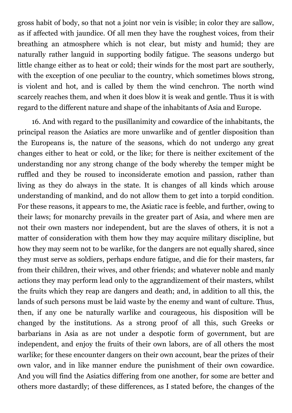gross habit of body, so that not a joint nor vein is visible; in color they are sallow, as if affected with jaundice. Of all men they have the roughest voices, from their breathing an atmosphere which is not clear, but misty and humid; they are naturally rather languid in supporting bodily fatigue. The seasons undergo but little change either as to heat or cold; their winds for the most part are southerly, with the exception of one peculiar to the country, which sometimes blows strong, is violent and hot, and is called by them the wind cenchron. The north wind scarcely reaches them, and when it does blow it is weak and gentle. Thus it is with regard to the different nature and shape of the inhabitants of Asia and Europe.

16. And with regard to the pusillanimity and cowardice of the inhabitants, the principal reason the Asiatics are more unwarlike and of gentler disposition than the Europeans is, the nature of the seasons, which do not undergo any great changes either to heat or cold, or the like; for there is neither excitement of the understanding nor any strong change of the body whereby the temper might be ruffled and they be roused to inconsiderate emotion and passion, rather than living as they do always in the state. It is changes of all kinds which arouse understanding of mankind, and do not allow them to get into a torpid condition. For these reasons, it appears to me, the Asiatic race is feeble, and further, owing to their laws; for monarchy prevails in the greater part of Asia, and where men are not their own masters nor independent, but are the slaves of others, it is not a matter of consideration with them how they may acquire military discipline, but how they may seem not to be warlike, for the dangers are not equally shared, since they must serve as soldiers, perhaps endure fatigue, and die for their masters, far from their children, their wives, and other friends; and whatever noble and manly actions they may perform lead only to the aggrandizement of their masters, whilst the fruits which they reap are dangers and death; and, in addition to all this, the lands of such persons must be laid waste by the enemy and want of culture. Thus, then, if any one be naturally warlike and courageous, his disposition will be changed by the institutions. As a strong proof of all this, such Greeks or barbarians in Asia as are not under a despotic form of government, but are independent, and enjoy the fruits of their own labors, are of all others the most warlike; for these encounter dangers on their own account, bear the prizes of their own valor, and in like manner endure the punishment of their own cowardice. And you will find the Asiatics differing from one another, for some are better and others more dastardly; of these differences, as I stated before, the changes of the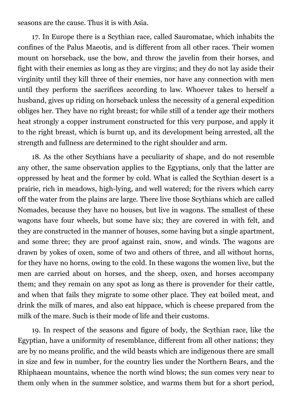seasons are the cause. Thus it is with Asia.

17. In Europe there is a Scythian race, called Sauromatae, which inhabits the confines of the Palus Maeotis, and is different from all other races. Their women mount on horseback, use the bow, and throw the javelin from their horses, and fight with their enemies as long as they are virgins; and they do not lay aside their virginity until they kill three of their enemies, nor have any connection with men until they perform the sacrifices according to law. Whoever takes to herself a husband, gives up riding on horseback unless the necessity of a general expedition obliges her. They have no right breast; for while still of a tender age their mothers heat strongly a copper instrument constructed for this very purpose, and apply it to the right breast, which is burnt up, and its development being arrested, all the strength and fullness are determined to the right shoulder and arm.

18. As the other Scythians have a peculiarity of shape, and do not resemble any other, the same observation applies to the Egyptians, only that the latter are oppressed by heat and the former by cold. What is called the Scythian desert is a prairie, rich in meadows, high-lying, and well watered; for the rivers which carry off the water from the plains are large. There live those Scythians which are called Nomades, because they have no houses, but live in wagons. The smallest of these wagons have four wheels, but some have six; they are covered in with felt, and they are constructed in the manner of houses, some having but a single apartment, and some three; they are proof against rain, snow, and winds. The wagons are drawn by yokes of oxen, some of two and others of three, and all without horns, for they have no horns, owing to the cold. In these wagons the women live, but the men are carried about on horses, and the sheep, oxen, and horses accompany them; and they remain on any spot as long as there is provender for their cattle, and when that fails they migrate to some other place. They eat boiled meat, and drink the milk of mares, and also eat hippace, which is cheese prepared from the milk of the mare. Such is their mode of life and their customs.

19. In respect of the seasons and figure of body, the Scythian race, like the Egyptian, have a uniformity of resemblance, different from all other nations; they are by no means prolific, and the wild beasts which are indigenous there are small in size and few in number, for the country lies under the Northern Bears, and the Rhiphaean mountains, whence the north wind blows; the sun comes very near to them only when in the summer solstice, and warms them but for a short period,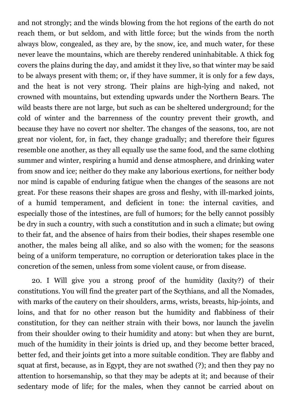and not strongly; and the winds blowing from the hot regions of the earth do not reach them, or but seldom, and with little force; but the winds from the north always blow, congealed, as they are, by the snow, ice, and much water, for these never leave the mountains, which are thereby rendered uninhabitable. A thick fog covers the plains during the day, and amidst it they live, so that winter may be said to be always present with them; or, if they have summer, it is only for a few days, and the heat is not very strong. Their plains are high-lying and naked, not crowned with mountains, but extending upwards under the Northern Bears. The wild beasts there are not large, but such as can be sheltered underground; for the cold of winter and the barrenness of the country prevent their growth, and because they have no covert nor shelter. The changes of the seasons, too, are not great nor violent, for, in fact, they change gradually; and therefore their figures resemble one another, as they all equally use the same food, and the same clothing summer and winter, respiring a humid and dense atmosphere, and drinking water from snow and ice; neither do they make any laborious exertions, for neither body nor mind is capable of enduring fatigue when the changes of the seasons are not great. For these reasons their shapes are gross and fleshy, with ill-marked joints, of a humid temperament, and deficient in tone: the internal cavities, and especially those of the intestines, are full of humors; for the belly cannot possibly be dry in such a country, with such a constitution and in such a climate; but owing to their fat, and the absence of hairs from their bodies, their shapes resemble one another, the males being all alike, and so also with the women; for the seasons being of a uniform temperature, no corruption or deterioration takes place in the concretion of the semen, unless from some violent cause, or from disease.

20. I Will give you a strong proof of the humidity (laxity?) of their constitutions. You will find the greater part of the Scythians, and all the Nomades, with marks of the cautery on their shoulders, arms, wrists, breasts, hip-joints, and loins, and that for no other reason but the humidity and flabbiness of their constitution, for they can neither strain with their bows, nor launch the javelin from their shoulder owing to their humidity and atony: but when they are burnt, much of the humidity in their joints is dried up, and they become better braced, better fed, and their joints get into a more suitable condition. They are flabby and squat at first, because, as in Egypt, they are not swathed (?); and then they pay no attention to horsemanship, so that they may be adepts at it; and because of their sedentary mode of life; for the males, when they cannot be carried about on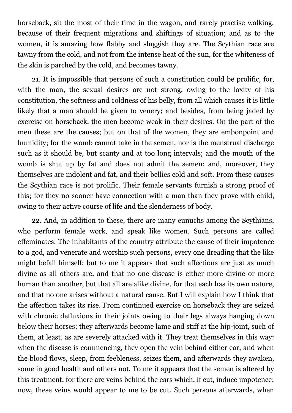horseback, sit the most of their time in the wagon, and rarely practise walking, because of their frequent migrations and shiftings of situation; and as to the women, it is amazing how flabby and sluggish they are. The Scythian race are tawny from the cold, and not from the intense heat of the sun, for the whiteness of the skin is parched by the cold, and becomes tawny.

21. It is impossible that persons of such a constitution could be prolific, for, with the man, the sexual desires are not strong, owing to the laxity of his constitution, the softness and coldness of his belly, from all which causes it is little likely that a man should be given to venery; and besides, from being jaded by exercise on horseback, the men become weak in their desires. On the part of the men these are the causes; but on that of the women, they are embonpoint and humidity; for the womb cannot take in the semen, nor is the menstrual discharge such as it should be, but scanty and at too long intervals; and the mouth of the womb is shut up by fat and does not admit the semen; and, moreover, they themselves are indolent and fat, and their bellies cold and soft. From these causes the Scythian race is not prolific. Their female servants furnish a strong proof of this; for they no sooner have connection with a man than they prove with child, owing to their active course of life and the slenderness of body.

22. And, in addition to these, there are many eunuchs among the Scythians, who perform female work, and speak like women. Such persons are called effeminates. The inhabitants of the country attribute the cause of their impotence to a god, and venerate and worship such persons, every one dreading that the like might befall himself; but to me it appears that such affections are just as much divine as all others are, and that no one disease is either more divine or more human than another, but that all are alike divine, for that each has its own nature, and that no one arises without a natural cause. But I will explain how I think that the affection takes its rise. From continued exercise on horseback they are seized with chronic defluxions in their joints owing to their legs always hanging down below their horses; they afterwards become lame and stiff at the hip-joint, such of them, at least, as are severely attacked with it. They treat themselves in this way: when the disease is commencing, they open the vein behind either ear, and when the blood flows, sleep, from feebleness, seizes them, and afterwards they awaken, some in good health and others not. To me it appears that the semen is altered by this treatment, for there are veins behind the ears which, if cut, induce impotence; now, these veins would appear to me to be cut. Such persons afterwards, when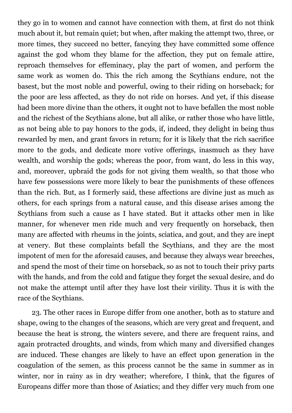they go in to women and cannot have connection with them, at first do not think much about it, but remain quiet; but when, after making the attempt two, three, or more times, they succeed no better, fancying they have committed some offence against the god whom they blame for the affection, they put on female attire, reproach themselves for effeminacy, play the part of women, and perform the same work as women do. This the rich among the Scythians endure, not the basest, but the most noble and powerful, owing to their riding on horseback; for the poor are less affected, as they do not ride on horses. And yet, if this disease had been more divine than the others, it ought not to have befallen the most noble and the richest of the Scythians alone, but all alike, or rather those who have little, as not being able to pay honors to the gods, if, indeed, they delight in being thus rewarded by men, and grant favors in return; for it is likely that the rich sacrifice more to the gods, and dedicate more votive offerings, inasmuch as they have wealth, and worship the gods; whereas the poor, from want, do less in this way, and, moreover, upbraid the gods for not giving them wealth, so that those who have few possessions were more likely to bear the punishments of these offences than the rich. But, as I formerly said, these affections are divine just as much as others, for each springs from a natural cause, and this disease arises among the Scythians from such a cause as I have stated. But it attacks other men in like manner, for whenever men ride much and very frequently on horseback, then many are affected with rheums in the joints, sciatica, and gout, and they are inept at venery. But these complaints befall the Scythians, and they are the most impotent of men for the aforesaid causes, and because they always wear breeches, and spend the most of their time on horseback, so as not to touch their privy parts with the hands, and from the cold and fatigue they forget the sexual desire, and do not make the attempt until after they have lost their virility. Thus it is with the race of the Scythians.

23. The other races in Europe differ from one another, both as to stature and shape, owing to the changes of the seasons, which are very great and frequent, and because the heat is strong, the winters severe, and there are frequent rains, and again protracted droughts, and winds, from which many and diversified changes are induced. These changes are likely to have an effect upon generation in the coagulation of the semen, as this process cannot be the same in summer as in winter, nor in rainy as in dry weather; wherefore, I think, that the figures of Europeans differ more than those of Asiatics; and they differ very much from one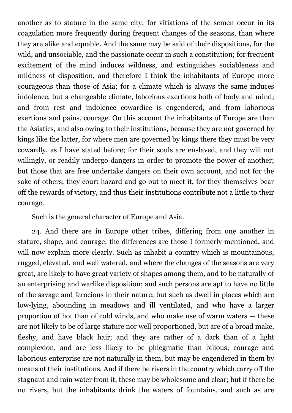another as to stature in the same city; for vitiations of the semen occur in its coagulation more frequently during frequent changes of the seasons, than where they are alike and equable. And the same may be said of their dispositions, for the wild, and unsociable, and the passionate occur in such a constitution; for frequent excitement of the mind induces wildness, and extinguishes sociableness and mildness of disposition, and therefore I think the inhabitants of Europe more courageous than those of Asia; for a climate which is always the same induces indolence, but a changeable climate, laborious exertions both of body and mind; and from rest and indolence cowardice is engendered, and from laborious exertions and pains, courage. On this account the inhabitants of Europe are than the Asiatics, and also owing to their institutions, because they are not governed by kings like the latter, for where men are governed by kings there they must be very cowardly, as I have stated before; for their souls are enslaved, and they will not willingly, or readily undergo dangers in order to promote the power of another; but those that are free undertake dangers on their own account, and not for the sake of others; they court hazard and go out to meet it, for they themselves bear off the rewards of victory, and thus their institutions contribute not a little to their courage.

Such is the general character of Europe and Asia.

24. And there are in Europe other tribes, differing from one another in stature, shape, and courage: the differences are those I formerly mentioned, and will now explain more clearly. Such as inhabit a country which is mountainous, rugged, elevated, and well watered, and where the changes of the seasons are very great, are likely to have great variety of shapes among them, and to be naturally of an enterprising and warlike disposition; and such persons are apt to have no little of the savage and ferocious in their nature; but such as dwell in places which are low-lying, abounding in meadows and ill ventilated, and who have a larger proportion of hot than of cold winds, and who make use of warm waters — these are not likely to be of large stature nor well proportioned, but are of a broad make, fleshy, and have black hair; and they are rather of a dark than of a light complexion, and are less likely to be phlegmatic than bilious; courage and laborious enterprise are not naturally in them, but may be engendered in them by means of their institutions. And if there be rivers in the country which carry off the stagnant and rain water from it, these may be wholesome and clear; but if there be no rivers, but the inhabitants drink the waters of fountains, and such as are